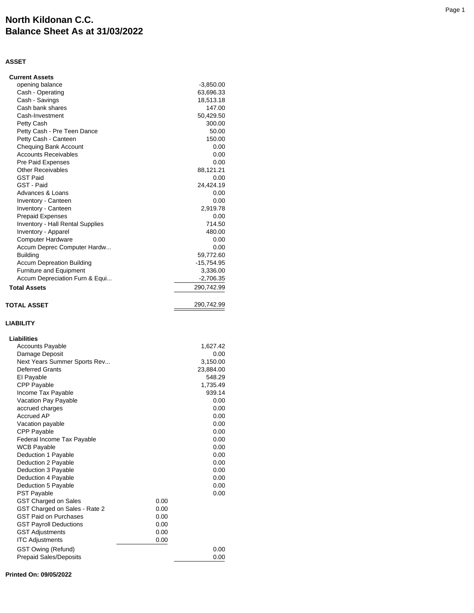## **North Kildonan C.C. Balance Sheet As at 31/03/2022**

## **ASSET**

| <b>Current Assets</b>                                      |      |                   |
|------------------------------------------------------------|------|-------------------|
| opening balance                                            |      | $-3,850.00$       |
| Cash - Operating                                           |      | 63,696.33         |
| Cash - Savings                                             |      | 18,513.18         |
| Cash bank shares                                           |      | 147.00            |
| Cash-Investment                                            |      | 50,429.50         |
| Petty Cash                                                 |      | 300.00            |
| Petty Cash - Pre Teen Dance                                |      | 50.00             |
| Petty Cash - Canteen                                       |      | 150.00            |
| <b>Chequing Bank Account</b>                               |      | 0.00              |
| <b>Accounts Receivables</b><br><b>Pre Paid Expenses</b>    |      | 0.00              |
| <b>Other Receivables</b>                                   |      | 0.00              |
| <b>GST Paid</b>                                            |      | 88,121.21<br>0.00 |
| GST - Paid                                                 |      | 24,424.19         |
| Advances & Loans                                           |      | 0.00              |
| Inventory - Canteen                                        |      | 0.00              |
| Inventory - Canteen                                        |      | 2,919.78          |
| <b>Prepaid Expenses</b>                                    |      | 0.00              |
| Inventory - Hall Rental Supplies                           |      | 714.50            |
| Inventory - Apparel                                        |      | 480.00            |
| <b>Computer Hardware</b>                                   |      | 0.00              |
| Accum Deprec Computer Hardw                                |      | 0.00              |
| <b>Building</b>                                            |      | 59,772.60         |
| <b>Accum Depreation Building</b>                           |      | $-15,754.95$      |
| Furniture and Equipment                                    |      | 3,336.00          |
| Accum Depreciation Furn & Equi                             |      | $-2,706.35$       |
| <b>Total Assets</b>                                        |      | 290,742.99        |
|                                                            |      |                   |
| <b>TOTAL ASSET</b>                                         |      | 290,742.99        |
|                                                            |      |                   |
|                                                            |      |                   |
| <b>LIABILITY</b>                                           |      |                   |
|                                                            |      |                   |
| Liabilities                                                |      |                   |
| <b>Accounts Payable</b>                                    |      | 1,627.42          |
| Damage Deposit                                             |      | 0.00              |
| Next Years Summer Sports Rev                               |      | 3,150.00          |
| <b>Deferred Grants</b>                                     |      | 23,884.00         |
| El Payable                                                 |      | 548.29            |
| <b>CPP Payable</b>                                         |      | 1,735.49          |
| Income Tax Payable                                         |      | 939.14            |
| Vacation Pay Payable<br>accrued charges                    |      | 0.00<br>0.00      |
| Accrued AP                                                 |      | 0.00              |
|                                                            |      | 0.00              |
| Vacation payable<br><b>CPP Payable</b>                     |      | 0.00              |
| Federal Income Tax Payable                                 |      | 0.00              |
| <b>WCB Payable</b>                                         |      | 0.00              |
| Deduction 1 Payable                                        |      | 0.00              |
| Deduction 2 Payable                                        |      | 0.00              |
| Deduction 3 Payable                                        |      | 0.00              |
| Deduction 4 Payable                                        |      | 0.00              |
| Deduction 5 Payable                                        |      | 0.00              |
| <b>PST Payable</b>                                         |      | 0.00              |
| GST Charged on Sales                                       | 0.00 |                   |
| GST Charged on Sales - Rate 2                              | 0.00 |                   |
| <b>GST Paid on Purchases</b>                               | 0.00 |                   |
| <b>GST Payroll Deductions</b>                              | 0.00 |                   |
| <b>GST Adjustments</b>                                     | 0.00 |                   |
| <b>ITC Adjustments</b>                                     | 0.00 |                   |
| <b>GST Owing (Refund)</b><br><b>Prepaid Sales/Deposits</b> |      | 0.00<br>0.00      |